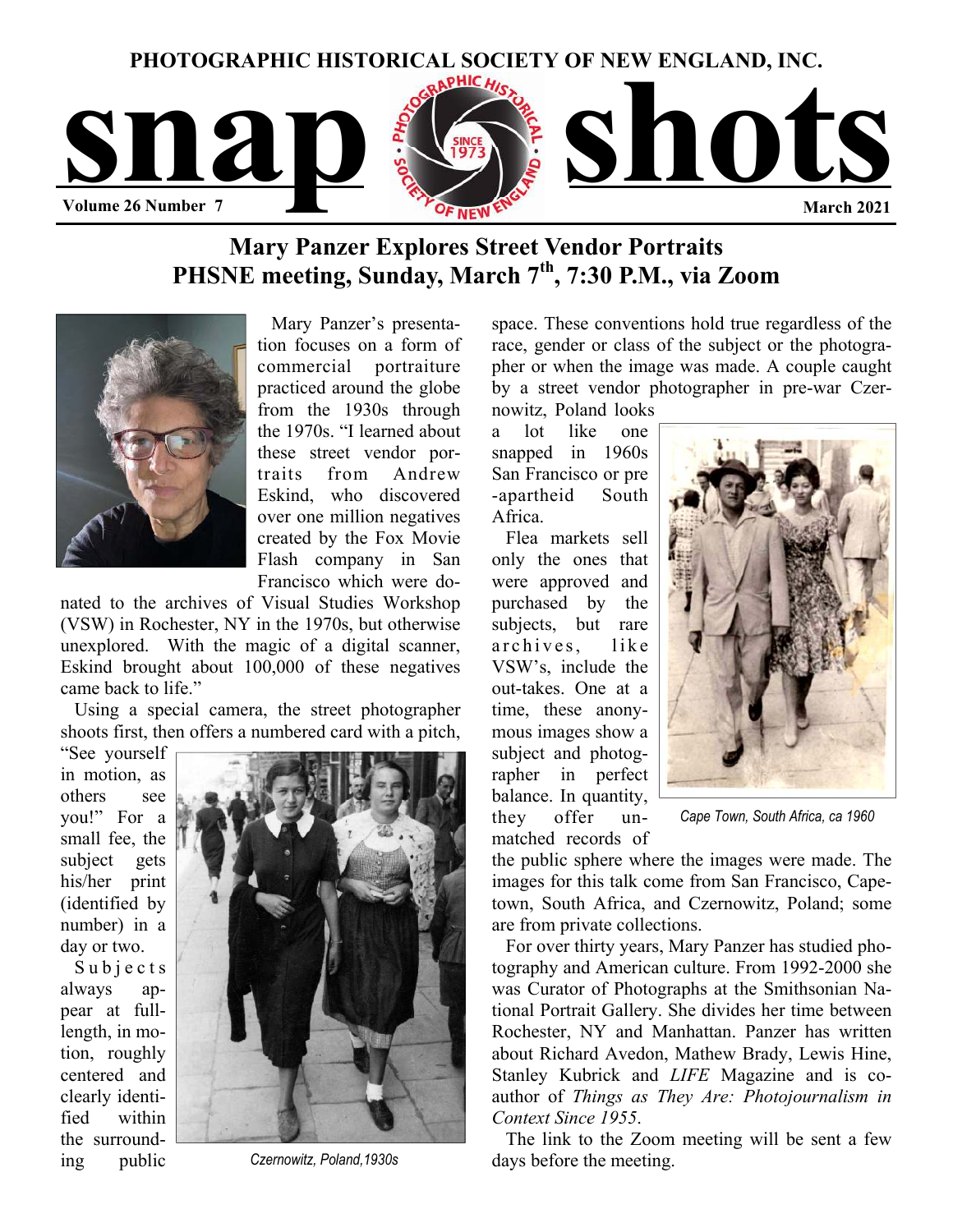

# **Mary Panzer Explores Street Vendor Portraits PHSNE meeting, Sunday, March 7th, 7:30 P.M., via Zoom**



 Mary Panzer's presentation focuses on a form of commercial portraiture practiced around the globe from the 1930s through the 1970s. "I learned about these street vendor portraits from Andrew Eskind, who discovered over one million negatives created by the Fox Movie Flash company in San Francisco which were do-

nated to the archives of Visual Studies Workshop (VSW) in Rochester, NY in the 1970s, but otherwise unexplored. With the magic of a digital scanner, Eskind brought about 100,000 of these negatives came back to life."

 Using a special camera, the street photographer shoots first, then offers a numbered card with a pitch,

"See yourself in motion, as others see you!" For a small fee, the subject gets his/her print (identified by number) in a day or two.

Subjects always appear at fulllength, in motion, roughly centered and clearly identified within the surrounding public



*Czernowitz, Poland,1930s* 

space. These conventions hold true regardless of the race, gender or class of the subject or the photographer or when the image was made. A couple caught by a street vendor photographer in pre-war Czernowitz, Poland looks

a lot like one snapped in 1960s San Francisco or pre -apartheid South Africa.

 Flea markets sell only the ones that were approved and purchased by the subjects, but rare archives, like VSW's, include the out-takes. One at a time, these anonymous images show a subject and photographer in perfect balance. In quantity, they offer unmatched records of



*Cape Town, South Africa, ca 1960* 

the public sphere where the images were made. The images for this talk come from San Francisco, Capetown, South Africa, and Czernowitz, Poland; some are from private collections.

 For over thirty years, Mary Panzer has studied photography and American culture. From 1992-2000 she was Curator of Photographs at the Smithsonian National Portrait Gallery. She divides her time between Rochester, NY and Manhattan. Panzer has written about Richard Avedon, Mathew Brady, Lewis Hine, Stanley Kubrick and *LIFE* Magazine and is coauthor of *Things as They Are: Photojournalism in Context Since 1955*.

 The link to the Zoom meeting will be sent a few days before the meeting.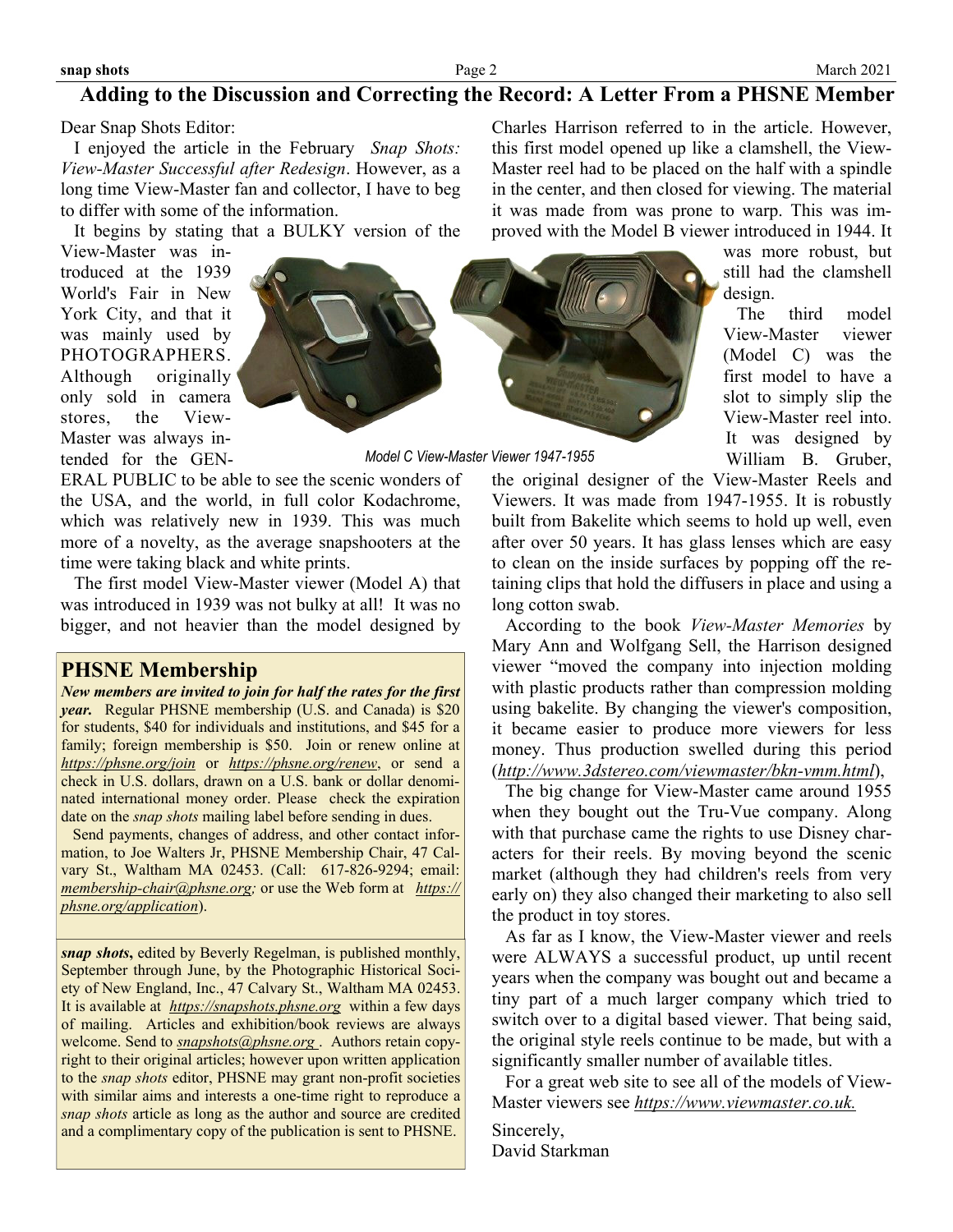#### **snap shots**

## **Adding to the Discussion and Correcting the Record: A Letter From a PHSNE Member**

Dear Snap Shots Editor:

 I enjoyed the article in the February *Snap Shots: View-Master Successful after Redesign*. However, as a long time View-Master fan and collector, I have to beg to differ with some of the information.

It begins by stating that a BULKY version of the

View-Master was introduced at the 1939 World's Fair in New York City, and that it was mainly used by PHOTOGRAPHERS. Although originally only sold in camera stores, the View-Master was always intended for the GEN-



*Model C View-Master Viewer 1947-1955* 

ERAL PUBLIC to be able to see the scenic wonders of the USA, and the world, in full color Kodachrome, which was relatively new in 1939. This was much more of a novelty, as the average snapshooters at the time were taking black and white prints.

 The first model View-Master viewer (Model A) that was introduced in 1939 was not bulky at all! It was no bigger, and not heavier than the model designed by

### **PHSNE Membership**

*New members are invited to join for half the rates for the first year.* Regular PHSNE membership (U.S. and Canada) is \$20 for students, \$40 for individuals and institutions, and \$45 for a family; foreign membership is \$50. Join or renew online at *<https://phsne.org/join>* or *<https://phsne.org/renew>*, or send a check in U.S. dollars, drawn on a U.S. bank or dollar denominated international money order. Please check the expiration date on the *snap shots* mailing label before sending in dues.

 Send payments, changes of address, and other contact information, to Joe Walters Jr, PHSNE Membership Chair, 47 Calvary St., Waltham MA 02453. (Call: 617-826-9294; email: *[membership-chair@phsne.org](mailto:%20membership-chair@phsne.org);* or use the Web form at *[https://](https://phsne.org/application) [phsne.org/application](https://phsne.org/application)*).

*snap shots***,** edited by Beverly Regelman, is published monthly, September through June, by the Photographic Historical Society of New England, Inc., 47 Calvary St., Waltham MA 02453. It is available at *<https://snapshots.phsne.org>* within a few days of mailing. Articles and exhibition/book reviews are always welcome. Send to *[snapshots@phsne.org](mailto:snapshots@phsne.org)* . Authors retain copyright to their original articles; however upon written application to the *snap shots* editor, PHSNE may grant non-profit societies with similar aims and interests a one-time right to reproduce a *snap shots* article as long as the author and source are credited and a complimentary copy of the publication is sent to PHSNE.

Charles Harrison referred to in the article. However, this first model opened up like a clamshell, the View-Master reel had to be placed on the half with a spindle in the center, and then closed for viewing. The material it was made from was prone to warp. This was improved with the Model B viewer introduced in 1944. It

> was more robust, but still had the clamshell design.

> The third model View-Master viewer (Model C) was the first model to have a slot to simply slip the View-Master reel into. It was designed by William B. Gruber,

the original designer of the View-Master Reels and Viewers. It was made from 1947-1955. It is robustly built from Bakelite which seems to hold up well, even after over 50 years. It has glass lenses which are easy to clean on the inside surfaces by popping off the retaining clips that hold the diffusers in place and using a long cotton swab.

 According to the book *View-Master Memories* by Mary Ann and Wolfgang Sell, the Harrison designed viewer "moved the company into injection molding with plastic products rather than compression molding using bakelite. By changing the viewer's composition, it became easier to produce more viewers for less money. Thus production swelled during this period (*<http://www.3dstereo.com/viewmaster/bkn-vmm.html>*),

 The big change for View-Master came around 1955 when they bought out the Tru-Vue company. Along with that purchase came the rights to use Disney characters for their reels. By moving beyond the scenic market (although they had children's reels from very early on) they also changed their marketing to also sell the product in toy stores.

 As far as I know, the View-Master viewer and reels were ALWAYS a successful product, up until recent years when the company was bought out and became a tiny part of a much larger company which tried to switch over to a digital based viewer. That being said, the original style reels continue to be made, but with a significantly smaller number of available titles.

 For a great web site to see all of the models of View-Master viewers see *[https://www.viewmaster.co.uk.](https://www.viewmaster.co.uk)* 

Sincerely, David Starkman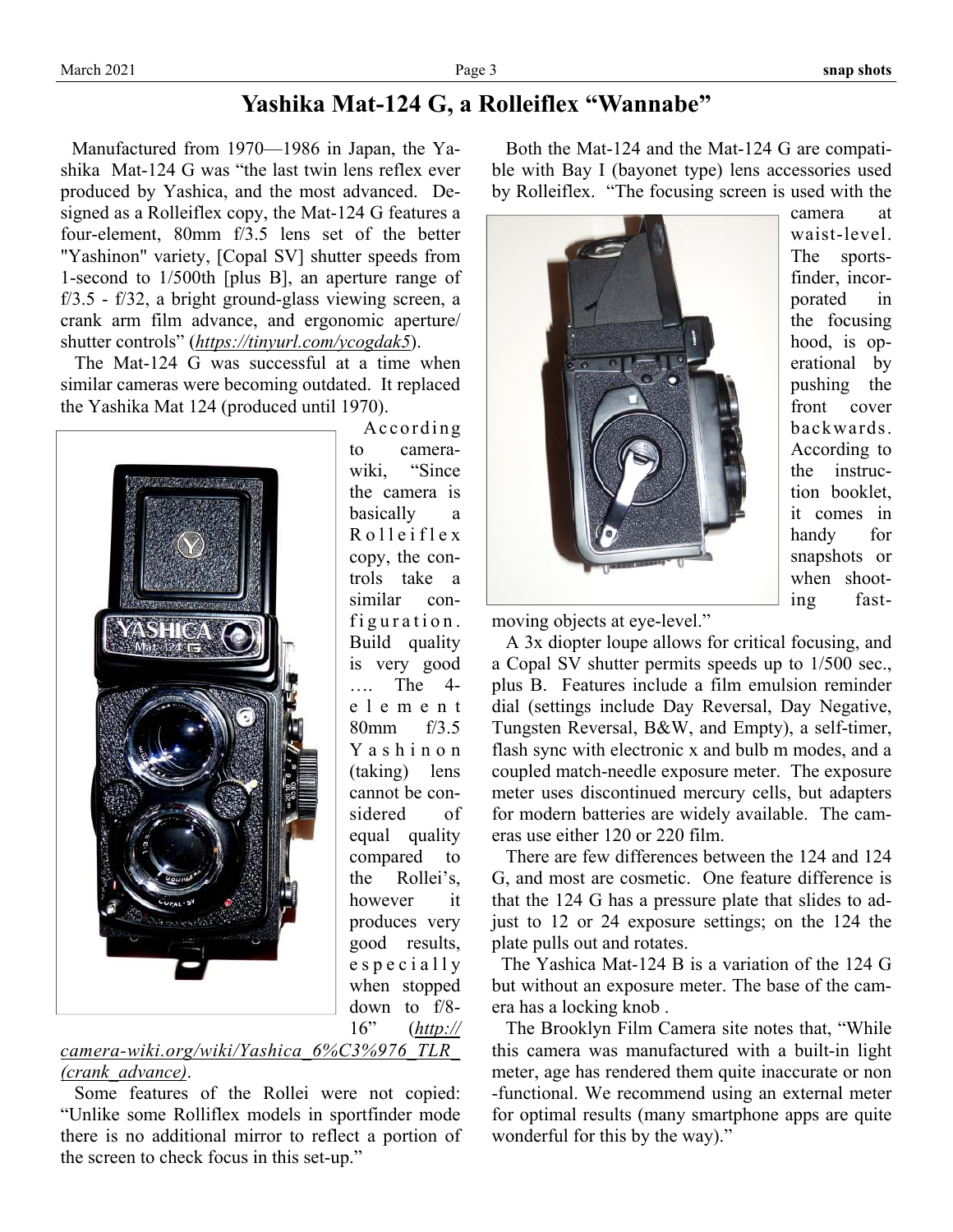# **Yashika Mat-124 G, a Rolleiflex "Wannabe"**

 Manufactured from 1970—1986 in Japan, the Yashika Mat-124 G was "the last twin lens reflex ever produced by Yashica, and the most advanced. Designed as a Rolleiflex copy, the Mat-124 G features a four-element, 80mm f/3.5 lens set of the better "Yashinon" variety, [Copal SV] shutter speeds from 1-second to 1/500th [plus B], an aperture range of f/3.5 - f/32, a bright ground-glass viewing screen, a crank arm film advance, and ergonomic aperture/ shutter controls" (*<https://tinyurl.com/ycogdak5>*).

 The Mat-124 G was successful at a time when similar cameras were becoming outdated. It replaced the Yashika Mat 124 (produced until 1970).



According to camerawiki, "Since the camera is basically a R o l l e i f l e x copy, the controls take a similar configuration. Build quality is very good …. The 4 e l e m e n t 80mm f/3.5 Y a s h i n o n (taking) lens cannot be considered of equal quality compared to the Rollei's, however it produces very good results, e s p e c i a l l y when stopped down to f/8- 16" (*[http://](http://camera-wiki.org/wiki/Yashica_6%C3%976_TLR_(crank_advance))*

### *[camera-wiki.org/wiki/Yashica\\_6%C3%976\\_TLR\\_](http://camera-wiki.org/wiki/Yashica_6%C3%976_TLR_(crank_advance)) [\(crank\\_advance\)](http://camera-wiki.org/wiki/Yashica_6%C3%976_TLR_(crank_advance))*.

 Some features of the Rollei were not copied: "Unlike some Rolliflex models in sportfinder mode there is no additional mirror to reflect a portion of the screen to check focus in this set-up."

 Both the Mat-124 and the Mat-124 G are compatible with Bay I (bayonet type) lens accessories used by Rolleiflex. "The focusing screen is used with the



camera at waist-level. The sportsfinder, incorporated in the focusing hood, is operational by pushing the front cover backwards. According to the instruction booklet, it comes in handy for snapshots or when shooting fast-

moving objects at eye-level."

 A 3x diopter loupe allows for critical focusing, and a Copal SV shutter permits speeds up to 1/500 sec., plus B. Features include a film emulsion reminder dial (settings include Day Reversal, Day Negative, Tungsten Reversal, B&W, and Empty), a self-timer, flash sync with electronic x and bulb m modes, and a coupled match-needle exposure meter. The exposure meter uses discontinued mercury cells, but adapters for modern batteries are widely available. The cameras use either 120 or 220 film.

 There are few differences between the 124 and 124 G, and most are cosmetic. One feature difference is that the 124 G has a pressure plate that slides to adjust to 12 or 24 exposure settings; on the 124 the plate pulls out and rotates.

 The Yashica Mat-124 B is a variation of the 124 G but without an exposure meter. The base of the camera has a locking knob .

 The Brooklyn Film Camera site notes that, "While this camera was manufactured with a built-in light meter, age has rendered them quite inaccurate or non -functional. We recommend using an external meter for optimal results (many smartphone apps are quite wonderful for this by the way)."